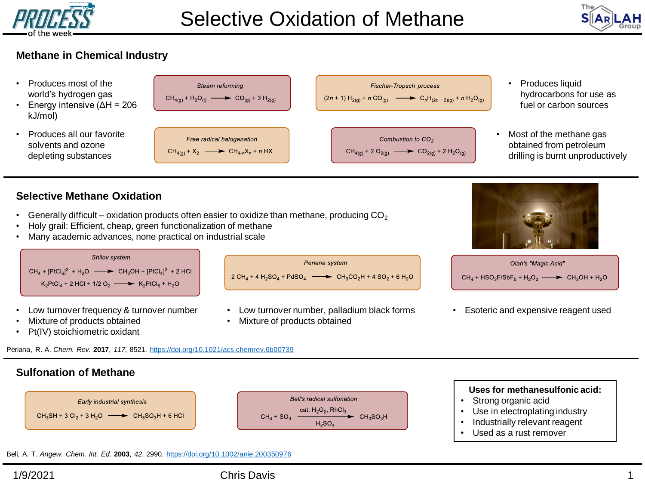



## **Methane in Chemical Industry**

- Produces most of the world's hydrogen gas
- Energy intensive (ΔH = 206 kJ/mol)
- Produces all our favorite solvents and ozone depleting substances

Steam reforming **Fischer-Tropsch process**  $CH_{4(g)} + H_2O_{(1)} \longrightarrow CO_{(g)} + 3 H_{2(g)}$  $(2n + 1) H_{2(g)} + n CO_{(g)}$   $\longrightarrow$   $C_n H_{(2n + 2)(g)} + n H_2 O_{(g)}$ Free radical halogenation Combustion to CO<sub>2</sub>  $CH_{4(a)} + X_2$   $\longrightarrow CH_{4-n}X_n + n$  HX  $CH_{4(g)}$  + 2 O<sub>2(g)</sub>  $\longrightarrow$  CO<sub>2(g)</sub> + 2 H<sub>2</sub>O<sub>(g)</sub>

- Produces liquid hydrocarbons for use as fuel or carbon sources
- Most of the methane gas obtained from petroleum drilling is burnt unproductively

## **Selective Methane Oxidation**

- Generally difficult oxidation products often easier to oxidize than methane, producing  $CO<sub>2</sub>$
- Holy grail: Efficient, cheap, green functionalization of methane
- Many academic advances, none practical on industrial scale



• Mixture of products obtained

- Mixture of products obtained
- Pt(IV) stoichiometric oxidant

Periana, R. A. *Chem. Rev.* **2017**, *117*, 8521. <https://doi.org/10.1021/acs.chemrev.6b00739>

## **Sulfonation of Methane**



Bell, A. T. *Angew. Chem. Int. Ed.* **2003**, *42*, 2990. <https://doi.org/10.1002/anie.200350976>

# 1/9/2021 Chris Davis 1

#### **Uses for methanesulfonic acid:**

- Strong organic acid
- Use in electroplating industry
- Industrially relevant reagent
- Used as a rust remover